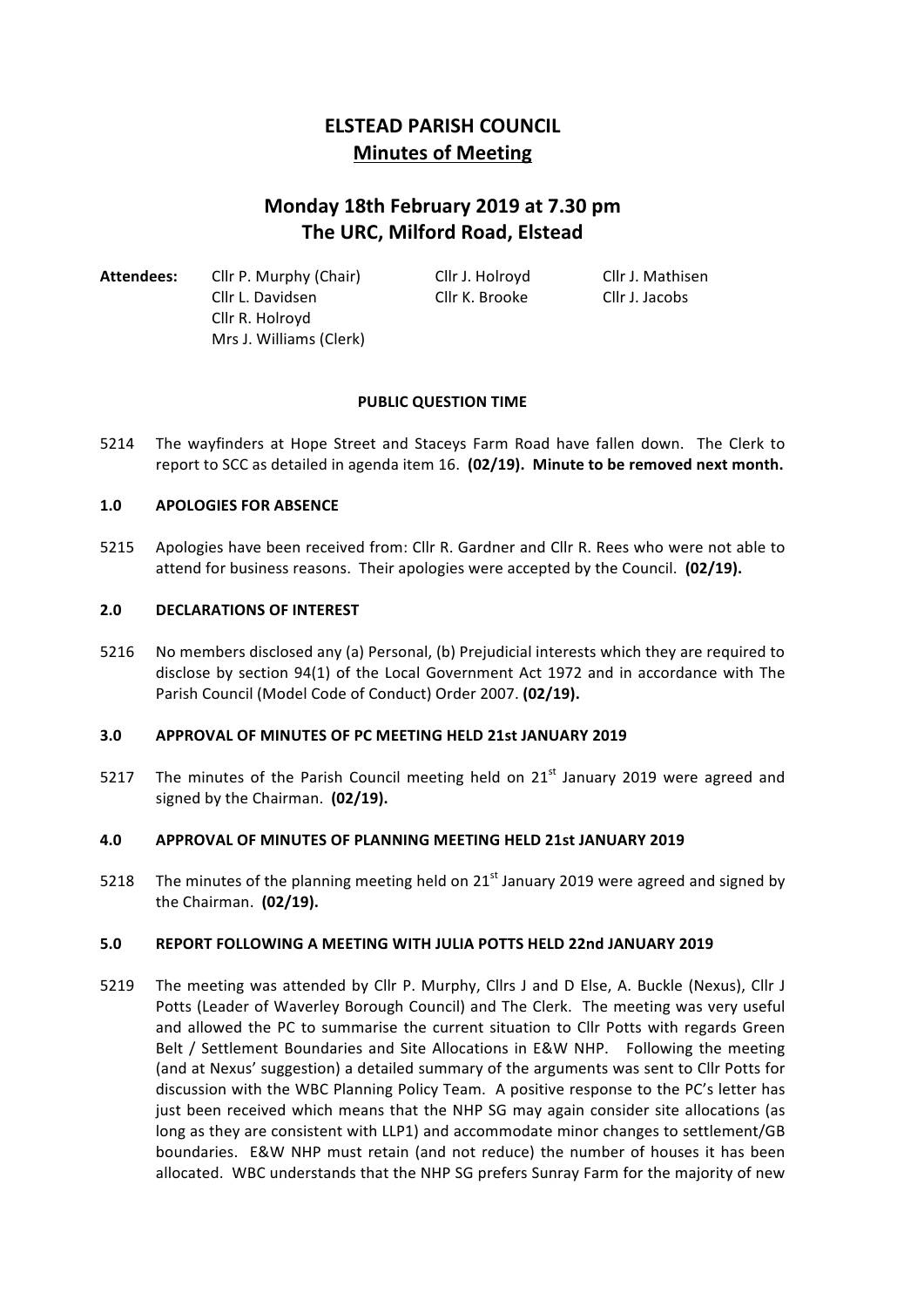# **ELSTEAD PARISH COUNCIL Minutes of Meeting**

# **Monday 18th February 2019 at 7.30 pm The URC, Milford Road, Elstead**

Attendees: Cllr P. Murphy (Chair) Cllr J. Holroyd Cllr J. Mathisen Cllr L. Davidsen Cllr K. Brooke Cllr J. Jacobs Cllr R. Holroyd Mrs J. Williams (Clerk)

# **PUBLIC QUESTION TIME**

5214 The wayfinders at Hope Street and Staceys Farm Road have fallen down. The Clerk to report to SCC as detailed in agenda item 16. (02/19). Minute to be removed next month.

# 1.0 **APOLOGIES FOR ABSENCE**

5215 Apologies have been received from: Cllr R. Gardner and Cllr R. Rees who were not able to attend for business reasons. Their apologies were accepted by the Council. (02/19).

# **2.0 DECLARATIONS OF INTEREST**

5216 No members disclosed any (a) Personal, (b) Prejudicial interests which they are required to disclose by section 94(1) of the Local Government Act 1972 and in accordance with The Parish Council (Model Code of Conduct) Order 2007. (02/19).

# **3.0 APPROVAL OF MINUTES OF PC MEETING HELD 21st JANUARY 2019**

5217 The minutes of the Parish Council meeting held on  $21^{st}$  January 2019 were agreed and signed by the Chairman. **(02/19).** 

# **4.0 APPROVAL OF MINUTES OF PLANNING MEETING HELD 21st JANUARY 2019**

5218 The minutes of the planning meeting held on  $21<sup>st</sup>$  January 2019 were agreed and signed by the Chairman. (02/19).

# **5.0 REPORT FOLLOWING A MEETING WITH JULIA POTTS HELD 22nd JANUARY 2019**

5219 The meeting was attended by Cllr P. Murphy, Cllrs J and D Else, A. Buckle (Nexus), Cllr J Potts (Leader of Waverley Borough Council) and The Clerk. The meeting was very useful and allowed the PC to summarise the current situation to Cllr Potts with regards Green Belt / Settlement Boundaries and Site Allocations in E&W NHP. Following the meeting (and at Nexus' suggestion) a detailed summary of the arguments was sent to Cllr Potts for discussion with the WBC Planning Policy Team. A positive response to the PC's letter has just been received which means that the NHP SG may again consider site allocations (as long as they are consistent with LLP1) and accommodate minor changes to settlement/GB boundaries. E&W NHP must retain (and not reduce) the number of houses it has been allocated. WBC understands that the NHP SG prefers Sunray Farm for the majority of new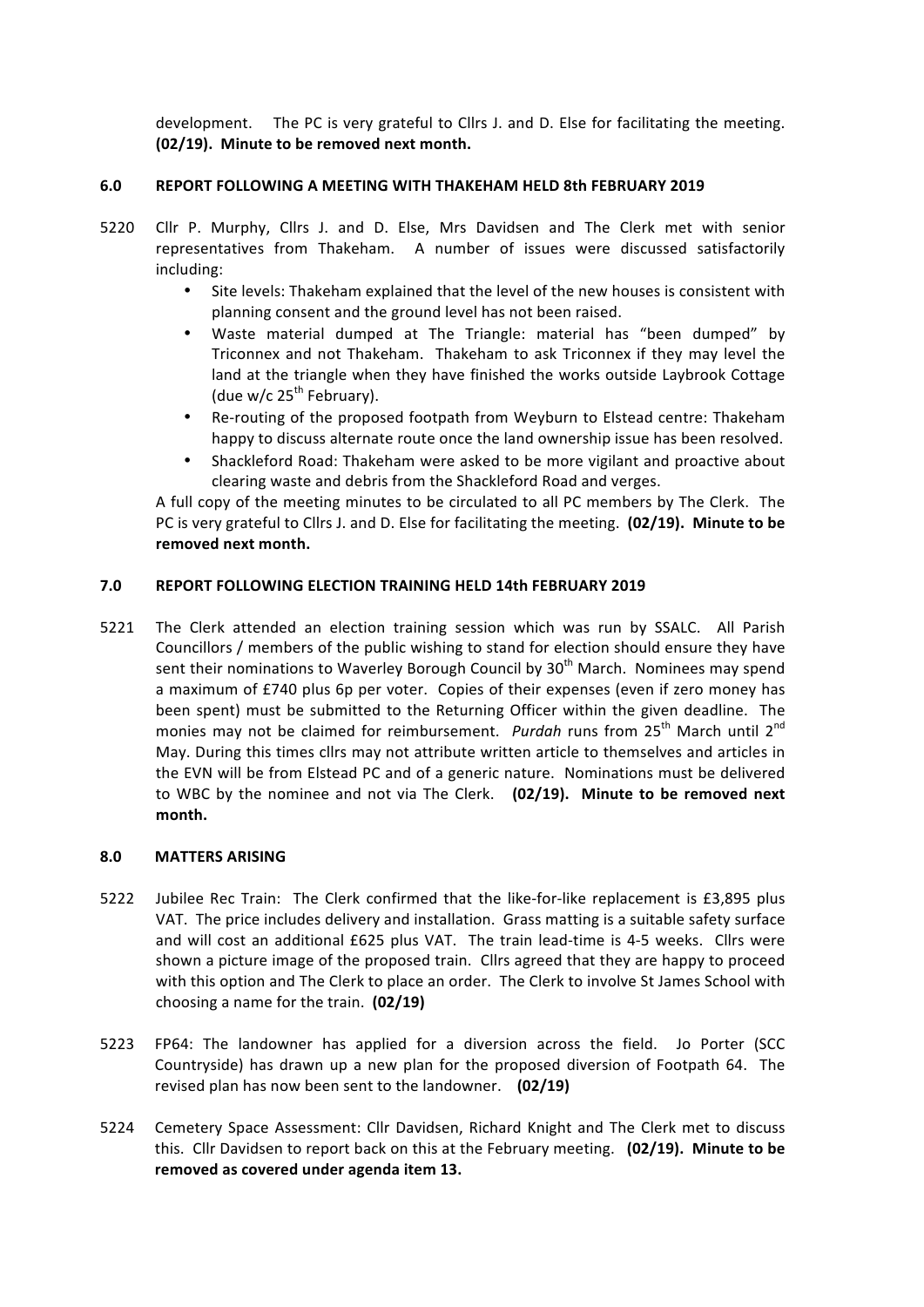development. The PC is very grateful to Cllrs J. and D. Else for facilitating the meeting. (02/19). Minute to be removed next month.

### **6.0 REPORT FOLLOWING A MEETING WITH THAKEHAM HELD 8th FEBRUARY 2019**

- 5220 Cllr P. Murphy, Cllrs J. and D. Else, Mrs Davidsen and The Clerk met with senior representatives from Thakeham. A number of issues were discussed satisfactorily including:
	- Site levels: Thakeham explained that the level of the new houses is consistent with planning consent and the ground level has not been raised.
	- Waste material dumped at The Triangle: material has "been dumped" by Triconnex and not Thakeham. Thakeham to ask Triconnex if they may level the land at the triangle when they have finished the works outside Laybrook Cottage (due w/c  $25^{th}$  February).
	- Re-routing of the proposed footpath from Weyburn to Elstead centre: Thakeham happy to discuss alternate route once the land ownership issue has been resolved.
	- Shackleford Road: Thakeham were asked to be more vigilant and proactive about clearing waste and debris from the Shackleford Road and verges.

A full copy of the meeting minutes to be circulated to all PC members by The Clerk. The PC is very grateful to Cllrs J. and D. Else for facilitating the meeting. (02/19). Minute to be removed next month.

### **7.0 REPORT FOLLOWING ELECTION TRAINING HELD 14th FEBRUARY 2019**

5221 The Clerk attended an election training session which was run by SSALC. All Parish Councillors / members of the public wishing to stand for election should ensure they have sent their nominations to Waverley Borough Council by  $30<sup>th</sup>$  March. Nominees may spend a maximum of £740 plus 6p per voter. Copies of their expenses (even if zero money has been spent) must be submitted to the Returning Officer within the given deadline. The monies may not be claimed for reimbursement. *Purdah* runs from 25<sup>th</sup> March until 2<sup>nd</sup> May. During this times cllrs may not attribute written article to themselves and articles in the EVN will be from Elstead PC and of a generic nature. Nominations must be delivered to WBC by the nominee and not via The Clerk. (02/19). Minute to be removed next **month.**

#### **8.0 MATTERS ARISING**

- 5222 Jubilee Rec Train: The Clerk confirmed that the like-for-like replacement is £3,895 plus VAT. The price includes delivery and installation. Grass matting is a suitable safety surface and will cost an additional £625 plus VAT. The train lead-time is 4-5 weeks. Cllrs were shown a picture image of the proposed train. Cllrs agreed that they are happy to proceed with this option and The Clerk to place an order. The Clerk to involve St James School with choosing a name for the train. **(02/19)**
- 5223 FP64: The landowner has applied for a diversion across the field. Jo Porter (SCC Countryside) has drawn up a new plan for the proposed diversion of Footpath 64. The revised plan has now been sent to the landowner. **(02/19)**
- 5224 Cemetery Space Assessment: Cllr Davidsen, Richard Knight and The Clerk met to discuss this. Cllr Davidsen to report back on this at the February meeting. (02/19). Minute to be removed as covered under agenda item 13.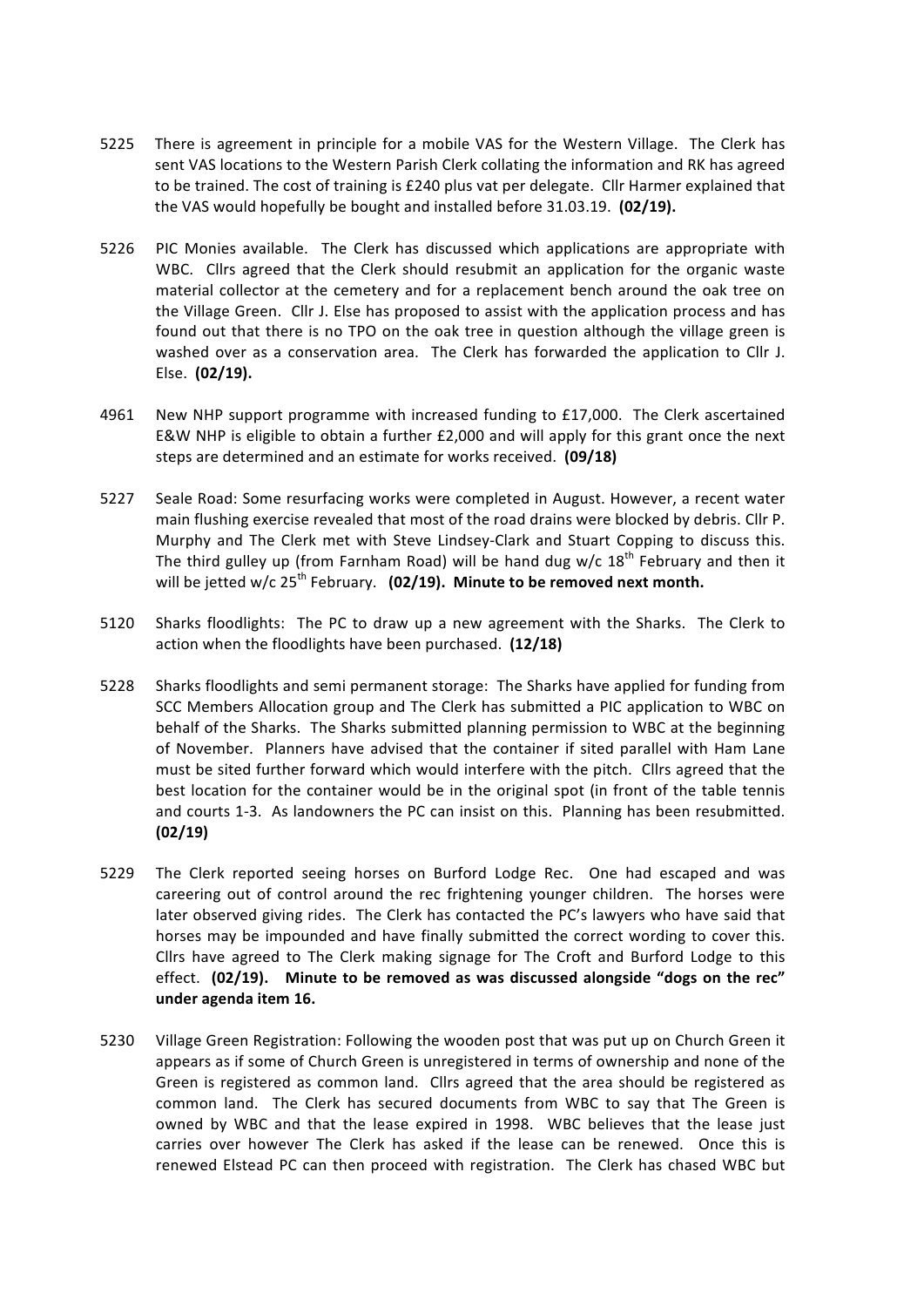- 5225 There is agreement in principle for a mobile VAS for the Western Village. The Clerk has sent VAS locations to the Western Parish Clerk collating the information and RK has agreed to be trained. The cost of training is £240 plus vat per delegate. Cllr Harmer explained that the VAS would hopefully be bought and installed before 31.03.19. **(02/19).**
- 5226 PIC Monies available. The Clerk has discussed which applications are appropriate with WBC. Cllrs agreed that the Clerk should resubmit an application for the organic waste material collector at the cemetery and for a replacement bench around the oak tree on the Village Green. Cllr J. Else has proposed to assist with the application process and has found out that there is no TPO on the oak tree in question although the village green is washed over as a conservation area. The Clerk has forwarded the application to Cllr J. Else. **(02/19).**
- 4961 New NHP support programme with increased funding to £17,000. The Clerk ascertained E&W NHP is eligible to obtain a further  $£2,000$  and will apply for this grant once the next steps are determined and an estimate for works received. **(09/18)**
- 5227 Seale Road: Some resurfacing works were completed in August. However, a recent water main flushing exercise revealed that most of the road drains were blocked by debris. Cllr P. Murphy and The Clerk met with Steve Lindsey-Clark and Stuart Copping to discuss this. The third gulley up (from Farnham Road) will be hand dug w/c  $18<sup>th</sup>$  February and then it will be jetted  $w/c 25^{th}$  February. (02/19). Minute to be removed next month.
- 5120 Sharks floodlights: The PC to draw up a new agreement with the Sharks. The Clerk to action when the floodlights have been purchased. (12/18)
- 5228 Sharks floodlights and semi permanent storage: The Sharks have applied for funding from SCC Members Allocation group and The Clerk has submitted a PIC application to WBC on behalf of the Sharks. The Sharks submitted planning permission to WBC at the beginning of November. Planners have advised that the container if sited parallel with Ham Lane must be sited further forward which would interfere with the pitch. Cllrs agreed that the best location for the container would be in the original spot (in front of the table tennis and courts 1-3. As landowners the PC can insist on this. Planning has been resubmitted. **(02/19)**
- 5229 The Clerk reported seeing horses on Burford Lodge Rec. One had escaped and was careering out of control around the rec frightening younger children. The horses were later observed giving rides. The Clerk has contacted the PC's lawyers who have said that horses may be impounded and have finally submitted the correct wording to cover this. Cllrs have agreed to The Clerk making signage for The Croft and Burford Lodge to this effect. (02/19). Minute to be removed as was discussed alongside "dogs on the rec" under agenda item 16.
- 5230 Village Green Registration: Following the wooden post that was put up on Church Green it appears as if some of Church Green is unregistered in terms of ownership and none of the Green is registered as common land. Cllrs agreed that the area should be registered as common land. The Clerk has secured documents from WBC to say that The Green is owned by WBC and that the lease expired in 1998. WBC believes that the lease just carries over however The Clerk has asked if the lease can be renewed. Once this is renewed Elstead PC can then proceed with registration. The Clerk has chased WBC but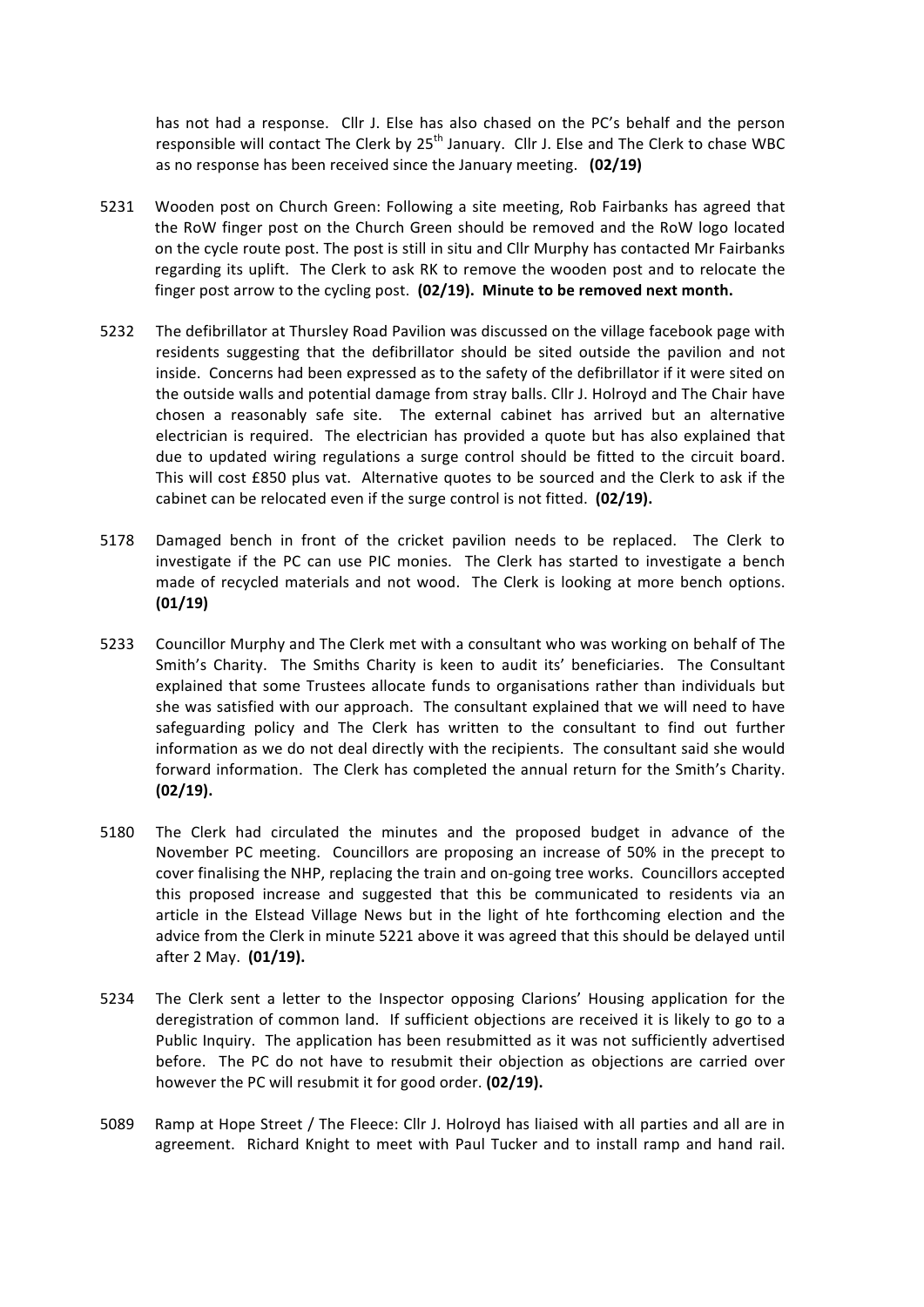has not had a response. Cllr J. Else has also chased on the PC's behalf and the person responsible will contact The Clerk by  $25<sup>th</sup>$  January. Cllr J. Else and The Clerk to chase WBC as no response has been received since the January meeting. **(02/19)** 

- 5231 Wooden post on Church Green: Following a site meeting, Rob Fairbanks has agreed that the RoW finger post on the Church Green should be removed and the RoW logo located on the cycle route post. The post is still in situ and Cllr Murphy has contacted Mr Fairbanks regarding its uplift. The Clerk to ask RK to remove the wooden post and to relocate the finger post arrow to the cycling post. (02/19). Minute to be removed next month.
- 5232 The defibrillator at Thursley Road Pavilion was discussed on the village facebook page with residents suggesting that the defibrillator should be sited outside the pavilion and not inside. Concerns had been expressed as to the safety of the defibrillator if it were sited on the outside walls and potential damage from stray balls. Cllr J. Holroyd and The Chair have chosen a reasonably safe site. The external cabinet has arrived but an alternative electrician is required. The electrician has provided a quote but has also explained that due to updated wiring regulations a surge control should be fitted to the circuit board. This will cost £850 plus vat. Alternative quotes to be sourced and the Clerk to ask if the cabinet can be relocated even if the surge control is not fitted. (02/19).
- 5178 Damaged bench in front of the cricket pavilion needs to be replaced. The Clerk to investigate if the PC can use PIC monies. The Clerk has started to investigate a bench made of recycled materials and not wood. The Clerk is looking at more bench options. **(01/19)**
- 5233 Councillor Murphy and The Clerk met with a consultant who was working on behalf of The Smith's Charity. The Smiths Charity is keen to audit its' beneficiaries. The Consultant explained that some Trustees allocate funds to organisations rather than individuals but she was satisfied with our approach. The consultant explained that we will need to have safeguarding policy and The Clerk has written to the consultant to find out further information as we do not deal directly with the recipients. The consultant said she would forward information. The Clerk has completed the annual return for the Smith's Charity. **(02/19).**
- 5180 The Clerk had circulated the minutes and the proposed budget in advance of the November PC meeting. Councillors are proposing an increase of 50% in the precept to cover finalising the NHP, replacing the train and on-going tree works. Councillors accepted this proposed increase and suggested that this be communicated to residents via an article in the Elstead Village News but in the light of hte forthcoming election and the advice from the Clerk in minute 5221 above it was agreed that this should be delayed until after 2 May. (01/19).
- 5234 The Clerk sent a letter to the Inspector opposing Clarions' Housing application for the deregistration of common land. If sufficient objections are received it is likely to go to a Public Inquiry. The application has been resubmitted as it was not sufficiently advertised before. The PC do not have to resubmit their objection as objections are carried over however the PC will resubmit it for good order. **(02/19).**
- 5089 Ramp at Hope Street / The Fleece: Cllr J. Holroyd has liaised with all parties and all are in agreement. Richard Knight to meet with Paul Tucker and to install ramp and hand rail.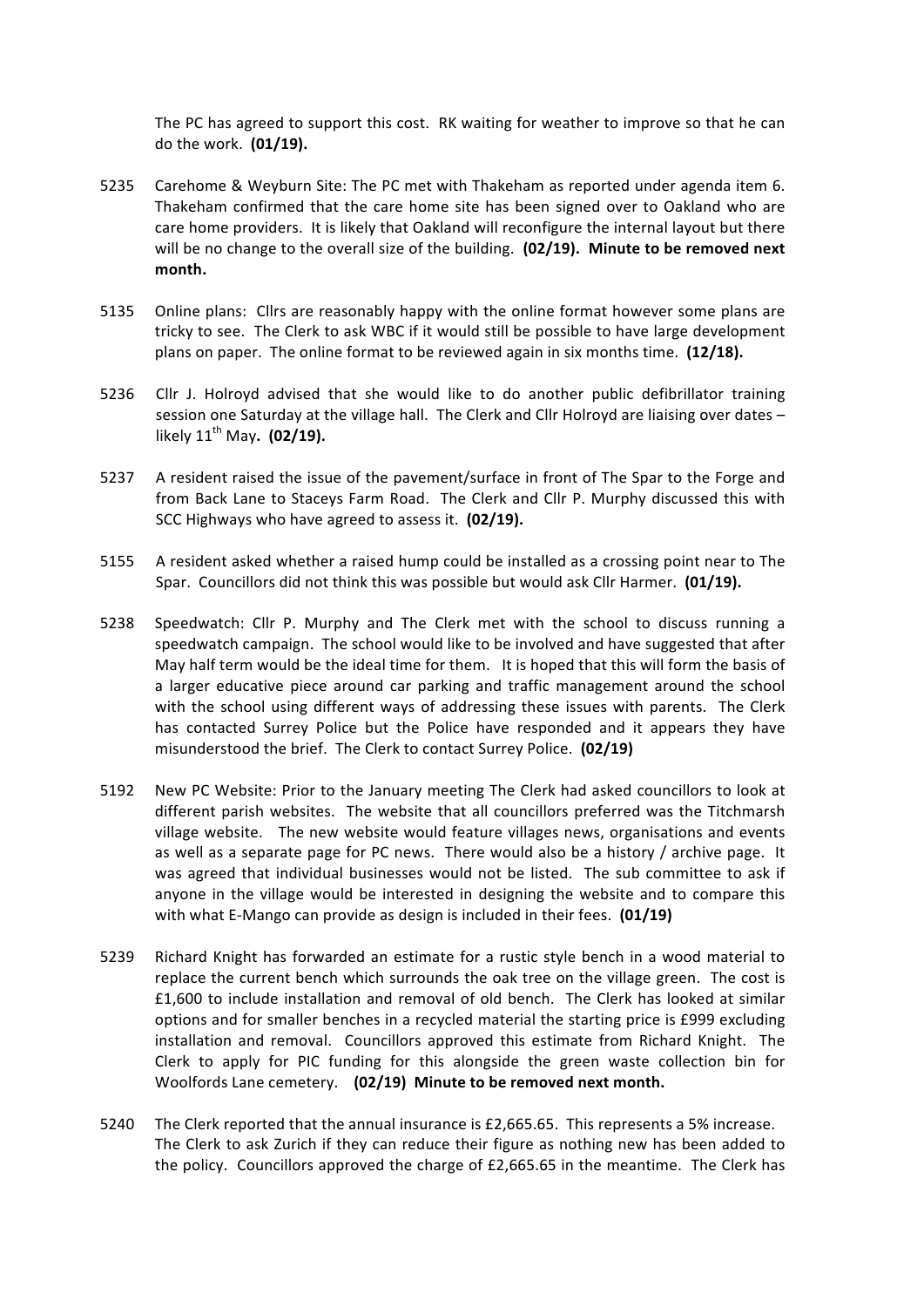The PC has agreed to support this cost. RK waiting for weather to improve so that he can do the work. **(01/19).**

- 5235 Carehome & Weyburn Site: The PC met with Thakeham as reported under agenda item 6. Thakeham confirmed that the care home site has been signed over to Oakland who are care home providers. It is likely that Oakland will reconfigure the internal layout but there will be no change to the overall size of the building. **(02/19). Minute to be removed next month.**
- 5135 Online plans: Cllrs are reasonably happy with the online format however some plans are tricky to see. The Clerk to ask WBC if it would still be possible to have large development plans on paper. The online format to be reviewed again in six months time. (12/18).
- 5236 Cllr J. Holroyd advised that she would like to do another public defibrillator training session one Saturday at the village hall. The Clerk and Cllr Holroyd are liaising over dates likely 11<sup>th</sup> May. (02/19).
- 5237 A resident raised the issue of the pavement/surface in front of The Spar to the Forge and from Back Lane to Staceys Farm Road. The Clerk and Cllr P. Murphy discussed this with SCC Highways who have agreed to assess it. (02/19).
- 5155 A resident asked whether a raised hump could be installed as a crossing point near to The Spar. Councillors did not think this was possible but would ask Cllr Harmer. (01/19).
- 5238 Speedwatch: Cllr P. Murphy and The Clerk met with the school to discuss running a speedwatch campaign. The school would like to be involved and have suggested that after May half term would be the ideal time for them. It is hoped that this will form the basis of a larger educative piece around car parking and traffic management around the school with the school using different ways of addressing these issues with parents. The Clerk has contacted Surrey Police but the Police have responded and it appears they have misunderstood the brief. The Clerk to contact Surrey Police. (02/19)
- 5192 New PC Website: Prior to the January meeting The Clerk had asked councillors to look at different parish websites. The website that all councillors preferred was the Titchmarsh village website. The new website would feature villages news, organisations and events as well as a separate page for PC news. There would also be a history / archive page. It was agreed that individual businesses would not be listed. The sub committee to ask if anyone in the village would be interested in designing the website and to compare this with what E-Mango can provide as design is included in their fees. (01/19)
- 5239 Richard Knight has forwarded an estimate for a rustic style bench in a wood material to replace the current bench which surrounds the oak tree on the village green. The cost is £1,600 to include installation and removal of old bench. The Clerk has looked at similar options and for smaller benches in a recycled material the starting price is £999 excluding installation and removal. Councillors approved this estimate from Richard Knight. The Clerk to apply for PIC funding for this alongside the green waste collection bin for Woolfords Lane cemetery. (02/19) Minute to be removed next month.
- 5240 The Clerk reported that the annual insurance is £2,665.65. This represents a 5% increase. The Clerk to ask Zurich if they can reduce their figure as nothing new has been added to the policy. Councillors approved the charge of  $£2,665.65$  in the meantime. The Clerk has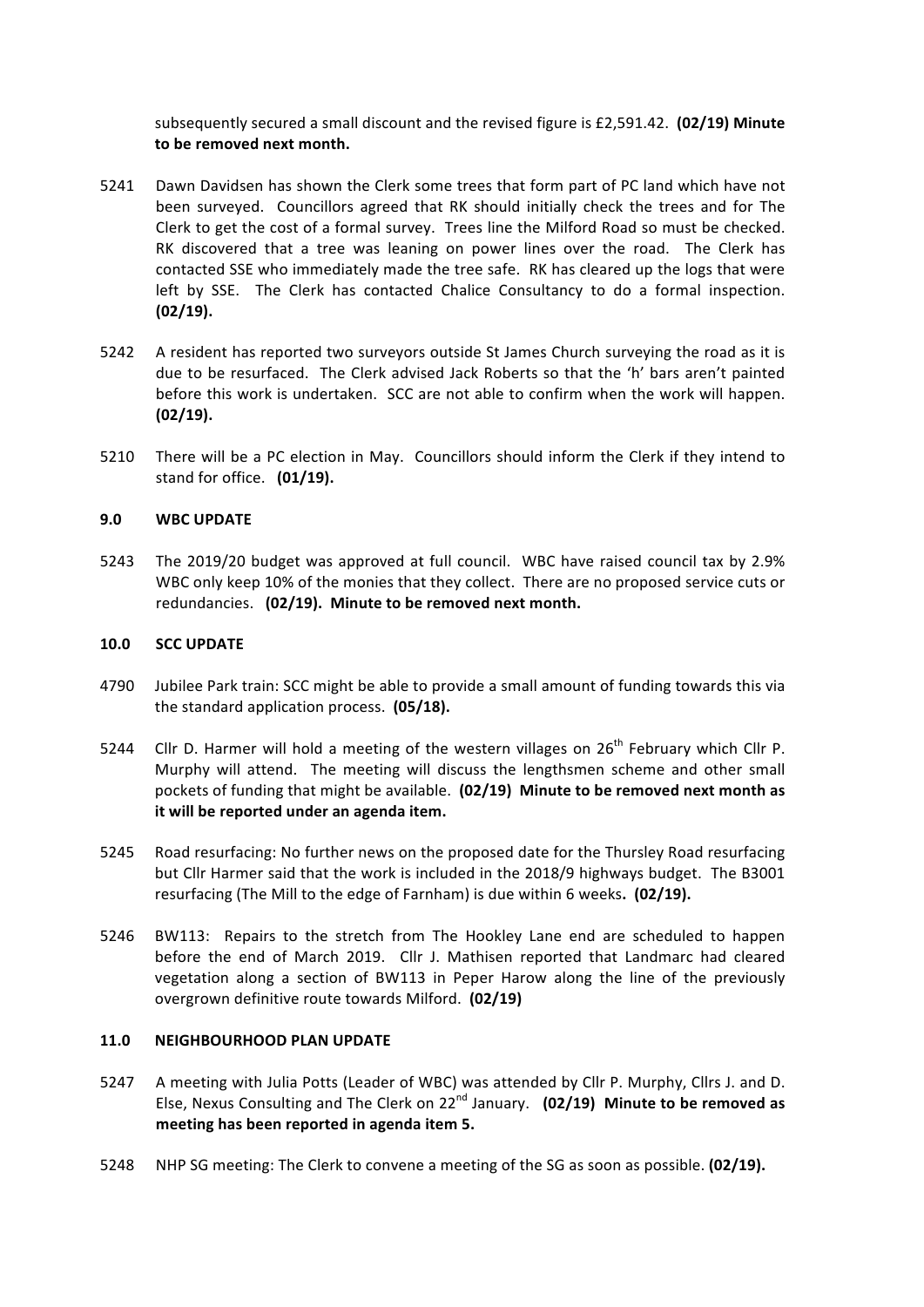subsequently secured a small discount and the revised figure is £2,591.42. **(02/19) Minute** to be removed next month.

- 5241 Dawn Davidsen has shown the Clerk some trees that form part of PC land which have not been surveyed. Councillors agreed that RK should initially check the trees and for The Clerk to get the cost of a formal survey. Trees line the Milford Road so must be checked. RK discovered that a tree was leaning on power lines over the road. The Clerk has contacted SSE who immediately made the tree safe. RK has cleared up the logs that were left by SSE. The Clerk has contacted Chalice Consultancy to do a formal inspection. **(02/19).**
- 5242 A resident has reported two surveyors outside St James Church surveying the road as it is due to be resurfaced. The Clerk advised Jack Roberts so that the 'h' bars aren't painted before this work is undertaken. SCC are not able to confirm when the work will happen. **(02/19).**
- 5210 There will be a PC election in May. Councillors should inform the Clerk if they intend to stand for office. (01/19).

#### **9.0 WBC UPDATE**

5243 The 2019/20 budget was approved at full council. WBC have raised council tax by 2.9% WBC only keep 10% of the monies that they collect. There are no proposed service cuts or redundancies. (02/19). Minute to be removed next month.

#### **10.0 SCC UPDATE**

- 4790 Jubilee Park train: SCC might be able to provide a small amount of funding towards this via the standard application process. (05/18).
- 5244 Cllr D. Harmer will hold a meeting of the western villages on  $26<sup>th</sup>$  February which Cllr P. Murphy will attend. The meeting will discuss the lengthsmen scheme and other small pockets of funding that might be available. **(02/19) Minute to be removed next month as** it will be reported under an agenda item.
- 5245 Road resurfacing: No further news on the proposed date for the Thursley Road resurfacing but Cllr Harmer said that the work is included in the 2018/9 highways budget. The B3001 resurfacing (The Mill to the edge of Farnham) is due within 6 weeks. (02/19).
- 5246 BW113: Repairs to the stretch from The Hookley Lane end are scheduled to happen before the end of March 2019. Cllr J. Mathisen reported that Landmarc had cleared vegetation along a section of BW113 in Peper Harow along the line of the previously overgrown definitive route towards Milford. (02/19)

#### **11.0 NEIGHBOURHOOD PLAN UPDATE**

- 5247 A meeting with Julia Potts (Leader of WBC) was attended by Cllr P. Murphy, Cllrs J. and D. Else, Nexus Consulting and The Clerk on  $22<sup>nd</sup>$  January. (02/19) Minute to be removed as meeting has been reported in agenda item 5.
- 5248 NHP SG meeting: The Clerk to convene a meeting of the SG as soon as possible. (02/19).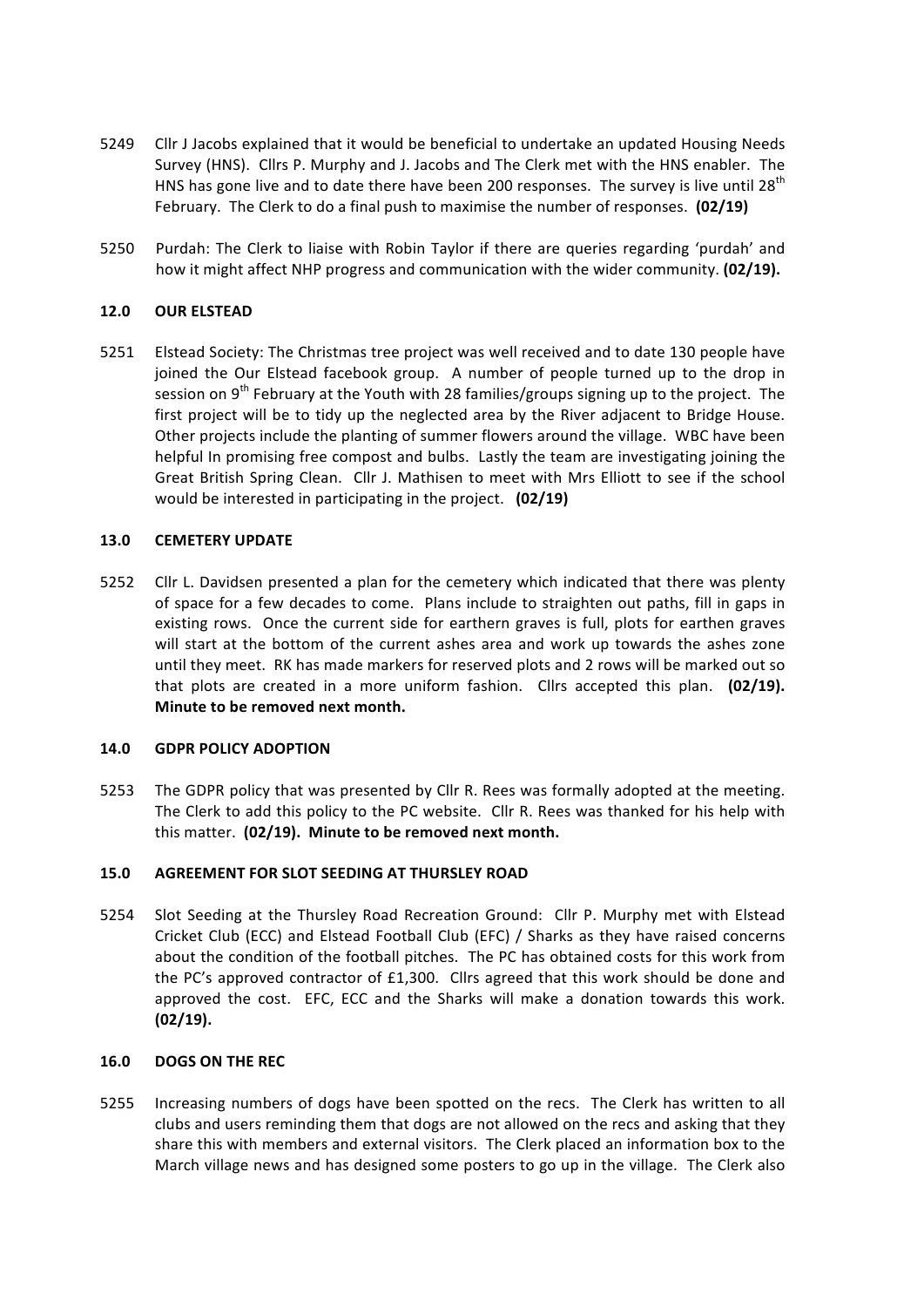- 5249 Cllr J Jacobs explained that it would be beneficial to undertake an updated Housing Needs Survey (HNS). Cllrs P. Murphy and J. Jacobs and The Clerk met with the HNS enabler. The HNS has gone live and to date there have been 200 responses. The survey is live until 28<sup>th</sup> February. The Clerk to do a final push to maximise the number of responses. **(02/19)**
- 5250 Purdah: The Clerk to liaise with Robin Taylor if there are queries regarding 'purdah' and how it might affect NHP progress and communication with the wider community. **(02/19).**

#### **12.0 OUR ELSTEAD**

5251 Elstead Society: The Christmas tree project was well received and to date 130 people have joined the Our Elstead facebook group. A number of people turned up to the drop in session on 9<sup>th</sup> February at the Youth with 28 families/groups signing up to the project. The first project will be to tidy up the neglected area by the River adjacent to Bridge House. Other projects include the planting of summer flowers around the village. WBC have been helpful In promising free compost and bulbs. Lastly the team are investigating joining the Great British Spring Clean. Cllr J. Mathisen to meet with Mrs Elliott to see if the school would be interested in participating in the project. (02/19)

#### **13.0 CEMETERY UPDATE**

5252 Cllr L. Davidsen presented a plan for the cemetery which indicated that there was plenty of space for a few decades to come. Plans include to straighten out paths, fill in gaps in existing rows. Once the current side for earthern graves is full, plots for earthen graves will start at the bottom of the current ashes area and work up towards the ashes zone until they meet. RK has made markers for reserved plots and 2 rows will be marked out so that plots are created in a more uniform fashion. Cllrs accepted this plan. (02/19). **Minute to be removed next month.** 

#### **14.0 GDPR POLICY ADOPTION**

5253 The GDPR policy that was presented by Cllr R. Rees was formally adopted at the meeting. The Clerk to add this policy to the PC website. Cllr R. Rees was thanked for his help with this matter. (02/19). Minute to be removed next month.

#### **15.0 AGREEMENT FOR SLOT SEEDING AT THURSLEY ROAD**

5254 Slot Seeding at the Thursley Road Recreation Ground: Cllr P. Murphy met with Elstead Cricket Club (ECC) and Elstead Football Club (EFC) / Sharks as they have raised concerns about the condition of the football pitches. The PC has obtained costs for this work from the PC's approved contractor of  $£1,300$ . Cllrs agreed that this work should be done and approved the cost. EFC, ECC and the Sharks will make a donation towards this work. **(02/19).**

#### **16.0 DOGS ON THE REC**

5255 Increasing numbers of dogs have been spotted on the recs. The Clerk has written to all clubs and users reminding them that dogs are not allowed on the recs and asking that they share this with members and external visitors. The Clerk placed an information box to the March village news and has designed some posters to go up in the village. The Clerk also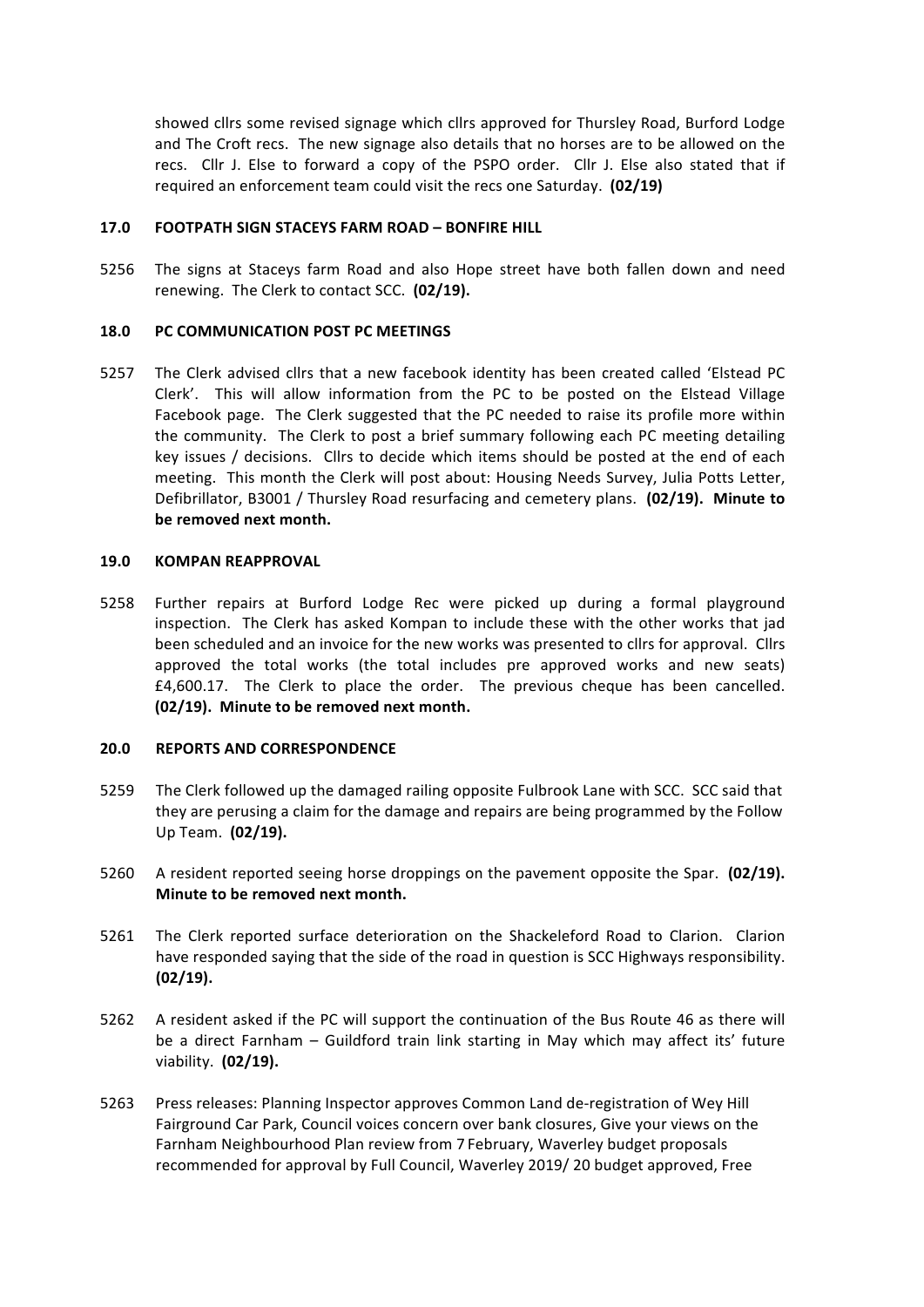showed cllrs some revised signage which cllrs approved for Thursley Road, Burford Lodge and The Croft recs. The new signage also details that no horses are to be allowed on the recs. Cllr J. Else to forward a copy of the PSPO order. Cllr J. Else also stated that if required an enforcement team could visit the recs one Saturday. (02/19)

#### **17.0 FOOTPATH SIGN STACEYS FARM ROAD – BONFIRE HILL**

5256 The signs at Staceys farm Road and also Hope street have both fallen down and need renewing. The Clerk to contact SCC. (02/19).

#### **18.0 PC COMMUNICATION POST PC MEETINGS**

5257 The Clerk advised cllrs that a new facebook identity has been created called 'Elstead PC Clerk'. This will allow information from the PC to be posted on the Elstead Village Facebook page. The Clerk suggested that the PC needed to raise its profile more within the community. The Clerk to post a brief summary following each PC meeting detailing key issues / decisions. Cllrs to decide which items should be posted at the end of each meeting. This month the Clerk will post about: Housing Needs Survey, Julia Potts Letter, Defibrillator, B3001 / Thursley Road resurfacing and cemetery plans. (02/19). Minute to be removed next month.

#### **19.0 KOMPAN REAPPROVAL**

5258 Further repairs at Burford Lodge Rec were picked up during a formal playground inspection. The Clerk has asked Kompan to include these with the other works that jad been scheduled and an invoice for the new works was presented to cllrs for approval. Cllrs approved the total works (the total includes pre approved works and new seats)  $£4,600.17$ . The Clerk to place the order. The previous cheque has been cancelled. **(02/19).** Minute to be removed next month.

#### **20.0 REPORTS AND CORRESPONDENCE**

- 5259 The Clerk followed up the damaged railing opposite Fulbrook Lane with SCC. SCC said that they are perusing a claim for the damage and repairs are being programmed by the Follow Up Team. (02/19).
- 5260 A resident reported seeing horse droppings on the pavement opposite the Spar. (02/19). **Minute to be removed next month.**
- 5261 The Clerk reported surface deterioration on the Shackeleford Road to Clarion. Clarion have responded saying that the side of the road in question is SCC Highways responsibility. **(02/19).**
- 5262 A resident asked if the PC will support the continuation of the Bus Route 46 as there will be a direct Farnham – Guildford train link starting in May which may affect its' future viability. **(02/19).**
- 5263 Press releases: Planning Inspector approves Common Land de-registration of Wey Hill Fairground Car Park, Council voices concern over bank closures, Give your views on the Farnham Neighbourhood Plan review from 7 February, Waverley budget proposals recommended for approval by Full Council, Waverley 2019/ 20 budget approved, Free